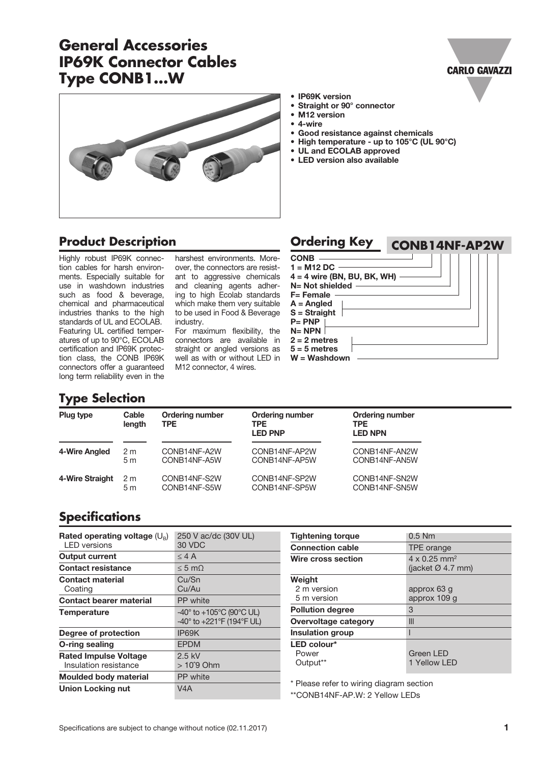# **General Accessories IP69K Connector Cables Type CONB1...W**

• IP69K version

- Straight or 90° connector<br>• M12 version
- M12 version
- 4-wire

CONB  $1 - M1000$ 

- Good resistance against chemicals
- High temperature up to 105°C (UL 90°C)
- UL and ECOLAB approved
- LED version also available

**Ordering Key**

#### **Product Description**

Highly robust IP69K connection cables for harsh environments. Especially suitable for use in washdown industries such as food & beverage, chemical and pharmaceutical industries thanks to the high standards of UL and ECOLAB. Featuring UL certified temperatures of up to 90°C, ECOLAB certification and IP69K protection class, the CONB IP69K connectors offer a guaranteed long term reliability even in the

harshest environments. Moreover, the connectors are resistant to aggressive chemic and cleaning agents adh ing to high Ecolab standa which make them very suita to be used in Food & Bevera industry.

For maximum flexibility. connectors are available straight or angled versions well as with or without LED M12 connector, 4 wires.

| ־וכונ | $\blacksquare$ IVI I $\mathrel{{\mathsf{L}}}$ DU |  |  |  |  |
|-------|--------------------------------------------------|--|--|--|--|
| cals  | $4 = 4$ wire (BN, BU, BK, WH) -                  |  |  |  |  |
| ner-  | N= Not shielded —————                            |  |  |  |  |
| ırds  | <b>F</b> = Female                                |  |  |  |  |
| able  | $A =$ Angled                                     |  |  |  |  |
| age   | $S =$ Straight                                   |  |  |  |  |
|       | $P = PNP$                                        |  |  |  |  |
| the   | $N = NPN$                                        |  |  |  |  |
| in    | $2 = 2$ metres                                   |  |  |  |  |
| as    | $5 = 5$ metres                                   |  |  |  |  |
| ) in  | W = Washdown                                     |  |  |  |  |
|       |                                                  |  |  |  |  |

#### **Type Selection**

| Plug type       | Cable<br>length | <b>Ordering number</b><br><b>TPE</b> | <b>Ordering number</b><br>TPE.<br><b>LED PNP</b> | <b>Ordering number</b><br><b>TPE</b><br><b>LED NPN</b> |
|-----------------|-----------------|--------------------------------------|--------------------------------------------------|--------------------------------------------------------|
| 4-Wire Angled   | 2 <sub>m</sub>  | CONB14NF-A2W                         | CONB14NF-AP2W                                    | CONB14NF-AN2W                                          |
|                 | 5 <sub>m</sub>  | CONB14NF-A5W                         | CONB14NF-AP5W                                    | CONB14NF-AN5W                                          |
| 4-Wire Straight | 2 <sub>m</sub>  | CONB14NF-S2W                         | CONB14NF-SP2W                                    | CONB14NF-SN2W                                          |
|                 | 5 <sub>m</sub>  | CONB14NF-S5W                         | CONB14NF-SP5W                                    | CONB14NF-SN5W                                          |

#### **Specifications**

| Rated operating voltage $(U_{\rm B})$<br><b>LED</b> versions | 250 V ac/dc (30V UL)<br>30 VDC                                                      |
|--------------------------------------------------------------|-------------------------------------------------------------------------------------|
| <b>Output current</b>                                        | $<$ 4 A                                                                             |
| <b>Contact resistance</b>                                    | $< 5 \text{ mO}$                                                                    |
| <b>Contact material</b><br>Coating                           | Cu/Sn<br>Cu/Au                                                                      |
| <b>Contact bearer material</b>                               | <b>PP</b> white                                                                     |
| <b>Temperature</b>                                           | $-40^{\circ}$ to $+105^{\circ}$ C (90 $^{\circ}$ C UL)<br>-40° to +221°F (194°F UL) |
| Degree of protection                                         | IP69K                                                                               |
| O-ring sealing                                               | <b>FPDM</b>                                                                         |
| <b>Rated Impulse Voltage</b><br>Insulation resistance        | $2.5$ kV<br>$>10^{\circ}9$ Ohm                                                      |
| <b>Moulded body material</b>                                 | PP white                                                                            |
| <b>Union Locking nut</b>                                     | V4A                                                                                 |

| <b>Tightening torque</b>             | $0.5$ Nm                                                         |  |
|--------------------------------------|------------------------------------------------------------------|--|
| <b>Connection cable</b>              | TPE orange                                                       |  |
| Wire cross section                   | $4 \times 0.25$ mm <sup>2</sup><br>(jacket $\varnothing$ 4.7 mm) |  |
| Weight<br>2 m version<br>5 m version | approx 63 g<br>approx 109 g                                      |  |
| <b>Pollution degree</b>              | 3                                                                |  |
| Overvoltage category                 | III                                                              |  |
| <b>Insulation group</b>              |                                                                  |  |
| LED colour*<br>Power<br>Output**     | <b>Green LED</b><br>1 Yellow I FD                                |  |

\* Please refer to wiring diagram section

\*\*CONB14NF-AP.W: 2 Yellow LEDs



 **CONB14NF-AP2W**

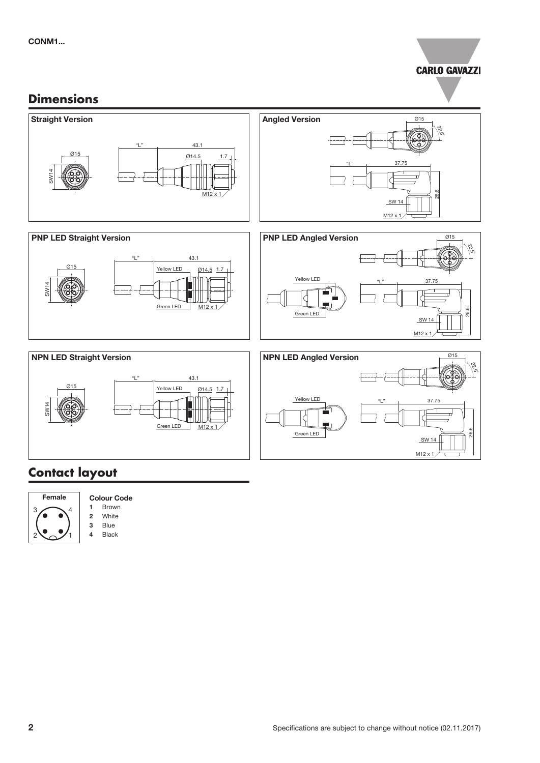

### **Dimensions**



## **Contact layout**





2 White

3 Blue

4 Black